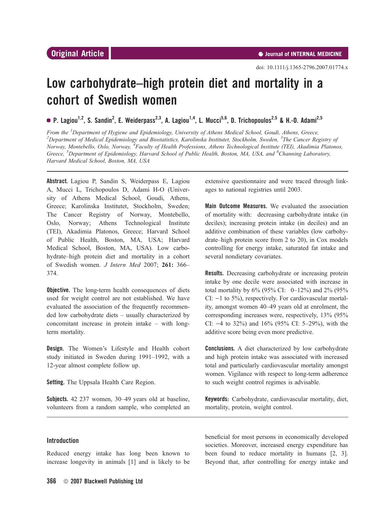doi: 10.1111/j.1365-2796.2007.01774.x

# Low carbohydrate–high protein diet and mortality in a cohort of Swedish women

P. Lagiou<sup>1,2</sup>, S. Sandin<sup>2</sup>, E. Weiderpass<sup>2,3</sup>, A. Lagiou<sup>1,4</sup>, L. Mucci<sup>5,6</sup>, D. Trichopoulos<sup>2,5</sup> & H.-O. Adami<sup>2,5</sup>

From the <sup>1</sup>Department of Hygiene and Epidemiology, University of Athens Medical School, Goudi, Athens, Greece,<br><sup>2</sup>Department of Medical Epidemiology and Biostatistics, Karolinska Institutet, Stockholm, Sweden, <sup>3</sup>The Canc Department of Medical Epidemiology and Biostatistics, Karolinska Institutet, Stockholm, Sweden, <sup>3</sup>The Cancer Registry oj Norway, Montebello, Oslo, Norway, <sup>4</sup>Faculty of Health Professions, Athens Technological Institute (TEI), Akadimia Platonos, Greece, <sup>5</sup>Department of Epidemiology, Harvard School of Public Health, Boston, MA, USA, and <sup>6</sup>Channing Laboratory, Harvard Medical School, Boston, MA, USA

Abstract. Lagiou P, Sandin S, Weiderpass E, Lagiou A, Mucci L, Trichopoulos D, Adami H-O (University of Athens Medical School, Goudi, Athens, Greece; Karolinska Institutet, Stockholm, Sweden; The Cancer Registry of Norway, Montebello, Oslo, Norway; Athens Technological Institute (TEI), Akadimia Platonos, Greece; Harvard School of Public Health, Boston, MA, USA; Harvard Medical School, Boston, MA, USA). Low carbohydrate–high protein diet and mortality in a cohort of Swedish women. J Intern Med 2007; 261: 366– 374.

**Objective.** The long-term health consequences of diets used for weight control are not established. We have evaluated the association of the frequently recommended low carbohydrate diets – usually characterized by concomitant increase in protein intake – with longterm mortality.

Design. The Women's Lifestyle and Health cohort study initiated in Sweden during 1991–1992, with a 12-year almost complete follow up.

Setting. The Uppsala Health Care Region.

Subjects. 42 237 women, 30–49 years old at baseline, volunteers from a random sample, who completed an extensive questionnaire and were traced through linkages to national registries until 2003.

Main Outcome Measures. We evaluated the association of mortality with: decreasing carbohydrate intake (in deciles); increasing protein intake (in deciles) and an additive combination of these variables (low carbohydrate–high protein score from 2 to 20), in Cox models controlling for energy intake, saturated fat intake and several nondietary covariates.

Results. Decreasing carbohydrate or increasing protein intake by one decile were associated with increase in total mortality by 6% (95% CI: 0–12%) and 2% (95% CI:  $-1$  to 5%), respectively. For cardiovascular mortality, amongst women 40–49 years old at enrolment, the corresponding increases were, respectively, 13% (95% CI:  $-4$  to 32%) and 16% (95% CI: 5–29%), with the additive score being even more predictive.

Conclusions. A diet characterized by low carbohydrate and high protein intake was associated with increased total and particularly cardiovascular mortality amongst women. Vigilance with respect to long-term adherence to such weight control regimes is advisable.

Keywords: Carbohydrate, cardiovascular mortality, diet, mortality, protein, weight control.

# Introduction

Reduced energy intake has long been known to increase longevity in animals [1] and is likely to be beneficial for most persons in economically developed societies. Moreover, increased energy expenditure has been found to reduce mortality in humans [2, 3]. Beyond that, after controlling for energy intake and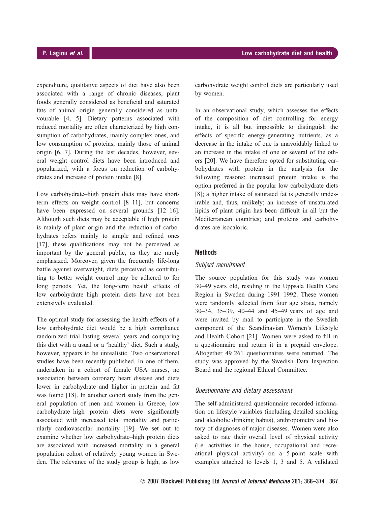expenditure, qualitative aspects of diet have also been associated with a range of chronic diseases, plant foods generally considered as beneficial and saturated fats of animal origin generally considered as unfavourable [4, 5]. Dietary patterns associated with reduced mortality are often characterized by high consumption of carbohydrates, mainly complex ones, and low consumption of proteins, mainly those of animal origin [6, 7]. During the last decades, however, several weight control diets have been introduced and popularized, with a focus on reduction of carbohydrates and increase of protein intake [8].

Low carbohydrate–high protein diets may have shortterm effects on weight control [8–11], but concerns have been expressed on several grounds [12–16]. Although such diets may be acceptable if high protein is mainly of plant origin and the reduction of carbohydrates refers mainly to simple and refined ones [17], these qualifications may not be perceived as important by the general public, as they are rarely emphasized. Moreover, given the frequently life-long battle against overweight, diets perceived as contributing to better weight control may be adhered to for long periods. Yet, the long-term health effects of low carbohydrate–high protein diets have not been extensively evaluated.

The optimal study for assessing the health effects of a low carbohydrate diet would be a high compliance randomized trial lasting several years and comparing this diet with a usual or a 'healthy' diet. Such a study, however, appears to be unrealistic. Two observational studies have been recently published. In one of them, undertaken in a cohort of female USA nurses, no association between coronary heart disease and diets lower in carbohydrate and higher in protein and fat was found [18]. In another cohort study from the general population of men and women in Greece, low carbohydrate–high protein diets were significantly associated with increased total mortality and particularly cardiovascular mortality [19]. We set out to examine whether low carbohydrate–high protein diets are associated with increased mortality in a general population cohort of relatively young women in Sweden. The relevance of the study group is high, as low

carbohydrate weight control diets are particularly used by women.

In an observational study, which assesses the effects of the composition of diet controlling for energy intake, it is all but impossible to distinguish the effects of specific energy-generating nutrients, as a decrease in the intake of one is unavoidably linked to an increase in the intake of one or several of the others [20]. We have therefore opted for substituting carbohydrates with protein in the analysis for the following reasons: increased protein intake is the option preferred in the popular low carbohydrate diets [8]; a higher intake of saturated fat is generally undesirable and, thus, unlikely; an increase of unsaturated lipids of plant origin has been difficult in all but the Mediterranean countries; and proteins and carbohydrates are isocaloric.

### **Methods**

### Subject recruitment

The source population for this study was women 30–49 years old, residing in the Uppsala Health Care Region in Sweden during 1991–1992. These women were randomly selected from four age strata, namely 30–34, 35–39, 40–44 and 45–49 years of age and were invited by mail to participate in the Swedish component of the Scandinavian Women's Lifestyle and Health Cohort [21]. Women were asked to fill in a questionnaire and return it in a prepaid envelope. Altogether 49 261 questionnaires were returned. The study was approved by the Swedish Data Inspection Board and the regional Ethical Committee.

# Questionnaire and dietary assessment

The self-administered questionnaire recorded information on lifestyle variables (including detailed smoking and alcoholic drinking habits), anthropometry and history of diagnoses of major diseases. Women were also asked to rate their overall level of physical activity (i.e. activities in the house, occupational and recreational physical activity) on a 5-point scale with examples attached to levels 1, 3 and 5. A validated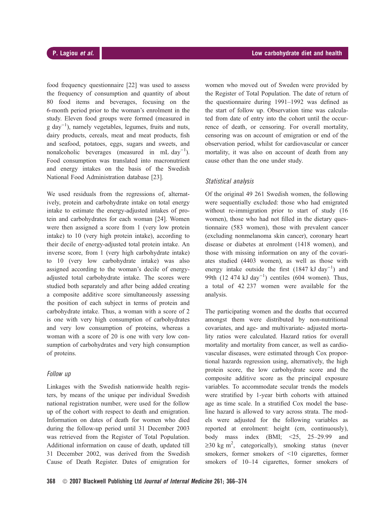food frequency questionnaire [22] was used to assess the frequency of consumption and quantity of about 80 food items and beverages, focusing on the 6-month period prior to the woman's enrolment in the study. Eleven food groups were formed (measured in  $g \text{ day}^{-1}$ ), namely vegetables, legumes, fruits and nuts, dairy products, cereals, meat and meat products, fish and seafood, potatoes, eggs, sugars and sweets, and nonalcoholic beverages (measured in mL day<sup>-1</sup>). Food consumption was translated into macronutrient and energy intakes on the basis of the Swedish National Food Administration database [23].

We used residuals from the regressions of, alternatively, protein and carbohydrate intake on total energy intake to estimate the energy-adjusted intakes of protein and carbohydrates for each woman [24]. Women were then assigned a score from 1 (very low protein intake) to 10 (very high protein intake), according to their decile of energy-adjusted total protein intake. An inverse score, from 1 (very high carbohydrate intake) to 10 (very low carbohydrate intake) was also assigned according to the woman's decile of energyadjusted total carbohydrate intake. The scores were studied both separately and after being added creating a composite additive score simultaneously assessing the position of each subject in terms of protein and carbohydrate intake. Thus, a woman with a score of 2 is one with very high consumption of carbohydrates and very low consumption of proteins, whereas a woman with a score of 20 is one with very low consumption of carbohydrates and very high consumption of proteins.

### Follow up

Linkages with the Swedish nationwide health registers, by means of the unique per individual Swedish national registration number, were used for the follow up of the cohort with respect to death and emigration. Information on dates of death for women who died during the follow-up period until 31 December 2003 was retrieved from the Register of Total Population. Additional information on cause of death, updated till 31 December 2002, was derived from the Swedish Cause of Death Register. Dates of emigration for women who moved out of Sweden were provided by the Register of Total Population. The date of return of the questionnaire during 1991–1992 was defined as the start of follow up. Observation time was calculated from date of entry into the cohort until the occurrence of death, or censoring. For overall mortality, censoring was on account of emigration or end of the observation period, whilst for cardiovascular or cancer mortality, it was also on account of death from any cause other than the one under study.

# Statistical analysis

Of the original 49 261 Swedish women, the following were sequentially excluded: those who had emigrated without re-immigration prior to start of study (16 women), those who had not filled in the dietary questionnaire (583 women), those with prevalent cancer (excluding nonmelanoma skin cancer), coronary heart disease or diabetes at enrolment (1418 women), and those with missing information on any of the covariates studied (4403 women), as well as those with energy intake outside the first  $(1847 \text{ kJ day}^{-1})$  and 99th  $(12\;474\;{\rm kJ\;day}^{-1})$  centiles (604 women). Thus, a total of 42 237 women were available for the analysis.

The participating women and the deaths that occurred amongst them were distributed by non-nutritional covariates, and age- and multivariate- adjusted mortality ratios were calculated. Hazard ratios for overall mortality and mortality from cancer, as well as cardiovascular diseases, were estimated through Cox proportional hazards regression using, alternatively, the high protein score, the low carbohydrate score and the composite additive score as the principal exposure variables. To accommodate secular trends the models were stratified by 1-year birth cohorts with attained age as time scale. In a stratified Cox model the baseline hazard is allowed to vary across strata. The models were adjusted for the following variables as reported at enrolment: height (cm, continuously), body mass index (BMI; <25, 25–29.99 and  $\geq$ 30 kg m<sup>2</sup>, categorically), smoking status (never smokers, former smokers of <10 cigarettes, former smokers of 10–14 cigarettes, former smokers of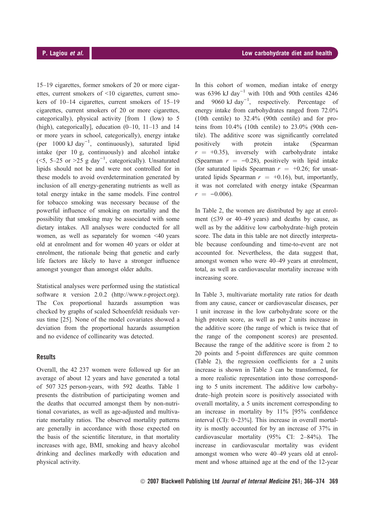15–19 cigarettes, former smokers of 20 or more cigarettes, current smokers of <10 cigarettes, current smokers of 10–14 cigarettes, current smokers of 15–19 cigarettes, current smokers of 20 or more cigarettes, categorically), physical activity [from 1 (low) to 5 (high), categorically], education (0–10, 11–13 and 14 or more years in school, categorically), energy intake (per  $1000 \text{ kJ day}^{-1}$ , continuously), saturated lipid intake (per 10 g, continuously) and alcohol intake  $(5, 5-25 \text{ or } >25 \text{ g day}^{-1}, \text{ categorically}).$  Unsaturated lipids should not be and were not controlled for in these models to avoid overdetermination generated by inclusion of all energy-generating nutrients as well as total energy intake in the same models. Fine control for tobacco smoking was necessary because of the powerful influence of smoking on mortality and the possibility that smoking may be associated with some dietary intakes. All analyses were conducted for all women, as well as separately for women <40 years old at enrolment and for women 40 years or older at enrolment, the rationale being that genetic and early life factors are likely to have a stronger influence amongst younger than amongst older adults.

Statistical analyses were performed using the statistical software R version 2.0.2 (http://www.r-project.org). The Cox proportional hazards assumption was checked by graphs of scaled Schoenfeldt residuals versus time [25]. None of the model covariates showed a deviation from the proportional hazards assumption and no evidence of collinearity was detected.

## Results

Overall, the 42 237 women were followed up for an average of about 12 years and have generated a total of 507 325 person-years, with 592 deaths. Table 1 presents the distribution of participating women and the deaths that occurred amongst them by non-nutritional covariates, as well as age-adjusted and multivariate mortality ratios. The observed mortality patterns are generally in accordance with those expected on the basis of the scientific literature, in that mortality increases with age, BMI, smoking and heavy alcohol drinking and declines markedly with education and physical activity.

In this cohort of women, median intake of energy was 6396 kJ day<sup>-1</sup> with 10th and 90th centiles 4246 and  $9060 \text{ kJ day}^{-1}$ , respectively. Percentage of energy intake from carbohydrates ranged from 72.0% (10th centile) to 32.4% (90th centile) and for proteins from 10.4% (10th centile) to 23.0% (90th centile). The additive score was significantly correlated positively with protein intake (Spearman  $r = +0.35$ ), inversely with carbohydrate intake (Spearman  $r = -0.28$ ), positively with lipid intake (for saturated lipids Spearman  $r = +0.26$ ; for unsaturated lipids Spearman  $r = +0.16$ ), but, importantly, it was not correlated with energy intake (Spearman  $r = -0.006$ .

In Table 2, the women are distributed by age at enrolment  $(539 \text{ or } 40-49 \text{ years})$  and deaths by cause, as well as by the additive low carbohydrate–high protein score. The data in this table are not directly interpretable because confounding and time-to-event are not accounted for. Nevertheless, the data suggest that, amongst women who were 40–49 years at enrolment, total, as well as cardiovascular mortality increase with increasing score.

In Table 3, multivariate mortality rate ratios for death from any cause, cancer or cardiovascular diseases, per 1 unit increase in the low carbohydrate score or the high protein score, as well as per 2 units increase in the additive score (the range of which is twice that of the range of the component scores) are presented. Because the range of the additive score is from 2 to 20 points and 5-point differences are quite common (Table 2), the regression coefficients for a 2 units increase is shown in Table 3 can be transformed, for a more realistic representation into those corresponding to 5 units increment. The additive low carbohydrate–high protein score is positively associated with overall mortality, a 5 units increment corresponding to an increase in mortality by 11% [95% confidence interval (CI): 0–23%]. This increase in overall mortality is mostly accounted for by an increase of 37% in cardiovascular mortality (95% CI: 2–84%). The increase in cardiovascular mortality was evident amongst women who were 40–49 years old at enrolment and whose attained age at the end of the 12-year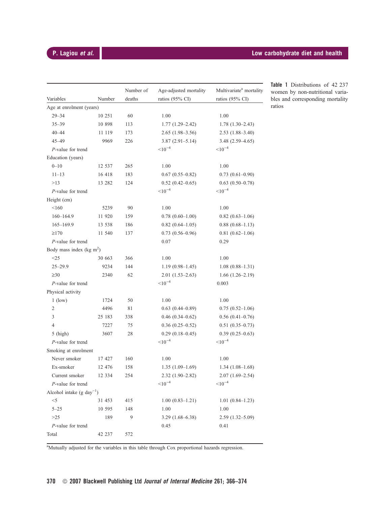| ratios (95% CI)<br>Variables<br>Number<br>deaths<br>ratios $(95\% \text{ CI})$<br>Age at enrolment (years)<br>$29 - 34$<br>10 251<br>60<br>1.00<br>1.00<br>$35 - 39$<br>10 898<br>113<br>$1.77(1.29 - 2.42)$<br>$1.78(1.30-2.43)$<br>$40 - 44$<br>173<br>$2.65(1.98-3.56)$<br>11 119<br>$2.53(1.88-3.40)$<br>$45 - 49$<br>$3.87(2.91 - 5.14)$<br>9969<br>226<br>$3.48(2.59-4.65)$<br>$110^{-4}$<br>$< 10^{-4}$<br>P-value for trend<br>Education (years)<br>$0 - 10$<br>12 537<br>265<br>1.00<br>1.00<br>$11 - 13$<br>16 418<br>183<br>$0.67(0.55 - 0.82)$<br>$0.73(0.61 - 0.90)$<br>>13<br>13 282<br>124<br>$0.52(0.42 - 0.65)$<br>$0.63(0.50-0.78)$<br>$110^{-4}$<br>$110^{-4}$<br>P-value for trend<br>Height (cm)<br>< 160<br>90<br>1.00<br>1.00<br>5239<br>160-164.9<br>11 920<br>159<br>$0.78(0.60-1.00)$<br>$0.82(0.63-1.06)$<br>$165 - 169.9$<br>13 538<br>186<br>$0.82(0.64 - 1.05)$<br>$0.88(0.68-1.13)$<br>$0.73(0.56 - 0.96)$<br>$\geq$ 170<br>11 540<br>$0.81(0.62 - 1.06)$<br>137<br>P-value for trend<br>0.07<br>0.29<br>Body mass index (kg $m^2$ )<br><25<br>30 663<br>366<br>1.00<br>1.00 |  | Number of | Age-adjusted mortality | Multivariate <sup>a</sup> mortality |  |
|-------------------------------------------------------------------------------------------------------------------------------------------------------------------------------------------------------------------------------------------------------------------------------------------------------------------------------------------------------------------------------------------------------------------------------------------------------------------------------------------------------------------------------------------------------------------------------------------------------------------------------------------------------------------------------------------------------------------------------------------------------------------------------------------------------------------------------------------------------------------------------------------------------------------------------------------------------------------------------------------------------------------------------------------------------------------------------------------------------------|--|-----------|------------------------|-------------------------------------|--|
|                                                                                                                                                                                                                                                                                                                                                                                                                                                                                                                                                                                                                                                                                                                                                                                                                                                                                                                                                                                                                                                                                                             |  |           |                        |                                     |  |
|                                                                                                                                                                                                                                                                                                                                                                                                                                                                                                                                                                                                                                                                                                                                                                                                                                                                                                                                                                                                                                                                                                             |  |           |                        |                                     |  |
|                                                                                                                                                                                                                                                                                                                                                                                                                                                                                                                                                                                                                                                                                                                                                                                                                                                                                                                                                                                                                                                                                                             |  |           |                        |                                     |  |
|                                                                                                                                                                                                                                                                                                                                                                                                                                                                                                                                                                                                                                                                                                                                                                                                                                                                                                                                                                                                                                                                                                             |  |           |                        |                                     |  |
|                                                                                                                                                                                                                                                                                                                                                                                                                                                                                                                                                                                                                                                                                                                                                                                                                                                                                                                                                                                                                                                                                                             |  |           |                        |                                     |  |
|                                                                                                                                                                                                                                                                                                                                                                                                                                                                                                                                                                                                                                                                                                                                                                                                                                                                                                                                                                                                                                                                                                             |  |           |                        |                                     |  |
|                                                                                                                                                                                                                                                                                                                                                                                                                                                                                                                                                                                                                                                                                                                                                                                                                                                                                                                                                                                                                                                                                                             |  |           |                        |                                     |  |
|                                                                                                                                                                                                                                                                                                                                                                                                                                                                                                                                                                                                                                                                                                                                                                                                                                                                                                                                                                                                                                                                                                             |  |           |                        |                                     |  |
|                                                                                                                                                                                                                                                                                                                                                                                                                                                                                                                                                                                                                                                                                                                                                                                                                                                                                                                                                                                                                                                                                                             |  |           |                        |                                     |  |
|                                                                                                                                                                                                                                                                                                                                                                                                                                                                                                                                                                                                                                                                                                                                                                                                                                                                                                                                                                                                                                                                                                             |  |           |                        |                                     |  |
|                                                                                                                                                                                                                                                                                                                                                                                                                                                                                                                                                                                                                                                                                                                                                                                                                                                                                                                                                                                                                                                                                                             |  |           |                        |                                     |  |
|                                                                                                                                                                                                                                                                                                                                                                                                                                                                                                                                                                                                                                                                                                                                                                                                                                                                                                                                                                                                                                                                                                             |  |           |                        |                                     |  |
|                                                                                                                                                                                                                                                                                                                                                                                                                                                                                                                                                                                                                                                                                                                                                                                                                                                                                                                                                                                                                                                                                                             |  |           |                        |                                     |  |
|                                                                                                                                                                                                                                                                                                                                                                                                                                                                                                                                                                                                                                                                                                                                                                                                                                                                                                                                                                                                                                                                                                             |  |           |                        |                                     |  |
|                                                                                                                                                                                                                                                                                                                                                                                                                                                                                                                                                                                                                                                                                                                                                                                                                                                                                                                                                                                                                                                                                                             |  |           |                        |                                     |  |
|                                                                                                                                                                                                                                                                                                                                                                                                                                                                                                                                                                                                                                                                                                                                                                                                                                                                                                                                                                                                                                                                                                             |  |           |                        |                                     |  |
|                                                                                                                                                                                                                                                                                                                                                                                                                                                                                                                                                                                                                                                                                                                                                                                                                                                                                                                                                                                                                                                                                                             |  |           |                        |                                     |  |
|                                                                                                                                                                                                                                                                                                                                                                                                                                                                                                                                                                                                                                                                                                                                                                                                                                                                                                                                                                                                                                                                                                             |  |           |                        |                                     |  |
|                                                                                                                                                                                                                                                                                                                                                                                                                                                                                                                                                                                                                                                                                                                                                                                                                                                                                                                                                                                                                                                                                                             |  |           |                        |                                     |  |
|                                                                                                                                                                                                                                                                                                                                                                                                                                                                                                                                                                                                                                                                                                                                                                                                                                                                                                                                                                                                                                                                                                             |  |           |                        |                                     |  |
| $25 - 29.9$<br>9234<br>144<br>$1.19(0.98-1.45)$<br>$1.08(0.88 - 1.31)$                                                                                                                                                                                                                                                                                                                                                                                                                                                                                                                                                                                                                                                                                                                                                                                                                                                                                                                                                                                                                                      |  |           |                        |                                     |  |
| $\geq 30$<br>$2.01(1.53-2.63)$<br>$1.66(1.26-2.19)$<br>2340<br>62                                                                                                                                                                                                                                                                                                                                                                                                                                                                                                                                                                                                                                                                                                                                                                                                                                                                                                                                                                                                                                           |  |           |                        |                                     |  |
| $10^{-4}$<br>P-value for trend<br>0.003                                                                                                                                                                                                                                                                                                                                                                                                                                                                                                                                                                                                                                                                                                                                                                                                                                                                                                                                                                                                                                                                     |  |           |                        |                                     |  |
| Physical activity                                                                                                                                                                                                                                                                                                                                                                                                                                                                                                                                                                                                                                                                                                                                                                                                                                                                                                                                                                                                                                                                                           |  |           |                        |                                     |  |
| $1$ (low)<br>50<br>1.00<br>1.00<br>1724                                                                                                                                                                                                                                                                                                                                                                                                                                                                                                                                                                                                                                                                                                                                                                                                                                                                                                                                                                                                                                                                     |  |           |                        |                                     |  |
| 2<br>4496<br>81<br>$0.63(0.44 - 0.89)$<br>$0.75(0.52 - 1.06)$                                                                                                                                                                                                                                                                                                                                                                                                                                                                                                                                                                                                                                                                                                                                                                                                                                                                                                                                                                                                                                               |  |           |                        |                                     |  |
| 3<br>25 183<br>338<br>$0.46(0.34 - 0.62)$<br>$0.56(0.41-0.76)$                                                                                                                                                                                                                                                                                                                                                                                                                                                                                                                                                                                                                                                                                                                                                                                                                                                                                                                                                                                                                                              |  |           |                        |                                     |  |
| $\overline{4}$<br>75<br>$0.36(0.25-0.52)$<br>$0.51(0.35-0.73)$<br>7227                                                                                                                                                                                                                                                                                                                                                                                                                                                                                                                                                                                                                                                                                                                                                                                                                                                                                                                                                                                                                                      |  |           |                        |                                     |  |
| $5$ (high)<br>3607<br>28<br>$0.29(0.18-0.45)$<br>$0.39(0.25-0.63)$                                                                                                                                                                                                                                                                                                                                                                                                                                                                                                                                                                                                                                                                                                                                                                                                                                                                                                                                                                                                                                          |  |           |                        |                                     |  |
| $110^{-4}$<br>$110^{-4}$<br>$P$ -value for trend                                                                                                                                                                                                                                                                                                                                                                                                                                                                                                                                                                                                                                                                                                                                                                                                                                                                                                                                                                                                                                                            |  |           |                        |                                     |  |
| Smoking at enrolment                                                                                                                                                                                                                                                                                                                                                                                                                                                                                                                                                                                                                                                                                                                                                                                                                                                                                                                                                                                                                                                                                        |  |           |                        |                                     |  |
| Never smoker<br>160<br>1.00<br>17 427<br>1.00                                                                                                                                                                                                                                                                                                                                                                                                                                                                                                                                                                                                                                                                                                                                                                                                                                                                                                                                                                                                                                                               |  |           |                        |                                     |  |
| Ex-smoker<br>12 476<br>$1.35(1.09-1.69)$<br>158<br>$1.34(1.08-1.68)$                                                                                                                                                                                                                                                                                                                                                                                                                                                                                                                                                                                                                                                                                                                                                                                                                                                                                                                                                                                                                                        |  |           |                        |                                     |  |
| Current smoker<br>12 3 3 4<br>254<br>$2.32(1.90-2.82)$<br>$2.07(1.69-2.54)$                                                                                                                                                                                                                                                                                                                                                                                                                                                                                                                                                                                                                                                                                                                                                                                                                                                                                                                                                                                                                                 |  |           |                        |                                     |  |
| $110^{-4}$<br>$110^{-4}$<br>P-value for trend                                                                                                                                                                                                                                                                                                                                                                                                                                                                                                                                                                                                                                                                                                                                                                                                                                                                                                                                                                                                                                                               |  |           |                        |                                     |  |
| Alcohol intake $(g \text{ day}^{-1})$                                                                                                                                                                                                                                                                                                                                                                                                                                                                                                                                                                                                                                                                                                                                                                                                                                                                                                                                                                                                                                                                       |  |           |                        |                                     |  |
| $<$ 5<br>31 453<br>415<br>$1.00(0.83-1.21)$<br>$1.01(0.84-1.23)$                                                                                                                                                                                                                                                                                                                                                                                                                                                                                                                                                                                                                                                                                                                                                                                                                                                                                                                                                                                                                                            |  |           |                        |                                     |  |
| $5 - 25$<br>1.00<br>1.00<br>10 595<br>148                                                                                                                                                                                                                                                                                                                                                                                                                                                                                                                                                                                                                                                                                                                                                                                                                                                                                                                                                                                                                                                                   |  |           |                        |                                     |  |
| 9<br>>25<br>189<br>$3.29(1.68 - 6.38)$<br>$2.59(1.32 - 5.09)$                                                                                                                                                                                                                                                                                                                                                                                                                                                                                                                                                                                                                                                                                                                                                                                                                                                                                                                                                                                                                                               |  |           |                        |                                     |  |
| P-value for trend<br>0.45<br>0.41                                                                                                                                                                                                                                                                                                                                                                                                                                                                                                                                                                                                                                                                                                                                                                                                                                                                                                                                                                                                                                                                           |  |           |                        |                                     |  |
| Total<br>42 237<br>572                                                                                                                                                                                                                                                                                                                                                                                                                                                                                                                                                                                                                                                                                                                                                                                                                                                                                                                                                                                                                                                                                      |  |           |                        |                                     |  |

Table 1 Distributions of 42 237 women by non-nutritional variables and corresponding mortality ratios

<sup>a</sup>Mutually adjusted for the variables in this table through Cox proportional hazards regression.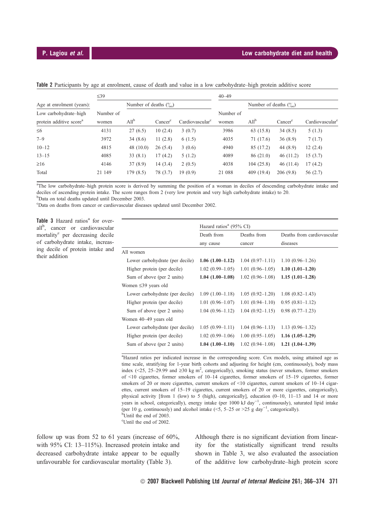# **P.** Lagiou *et al.* **In the case of all carbon carbohydrate diet and health Low carbohydrate diet and health**

|                                     | $\leq 39$ |                                  |                     |                             | $40 - 49$ |                                  |                     |                             |
|-------------------------------------|-----------|----------------------------------|---------------------|-----------------------------|-----------|----------------------------------|---------------------|-----------------------------|
| Age at enrolment (years):           |           | Number of deaths $\binom{0}{00}$ |                     |                             |           | Number of deaths $\binom{0}{00}$ |                     |                             |
| Low carbohydrate-high               | Number of |                                  |                     |                             | Number of |                                  |                     |                             |
| protein additive score <sup>a</sup> | women     | All <sup>b</sup>                 | Cancer <sup>c</sup> | Cardiovascular <sup>c</sup> | women     | All <sup>b</sup>                 | Cancer <sup>c</sup> | Cardiovascular <sup>c</sup> |
| $\leq 6$                            | 4131      | 27(6.5)                          | 10(2.4)             | 3(0.7)                      | 3986      | 63 (15.8)                        | 34(8.5)             | 5(1.3)                      |
| $7 - 9$                             | 3972      | 34(8.6)                          | 11(2.8)             | 6(1.5)                      | 4035      | 71 (17.6)                        | 36(8.9)             | 7(1.7)                      |
| $10 - 12$                           | 4815      | 48 $(10.0)$                      | 26(5.4)             | 3(0.6)                      | 4940      | 85 (17.2)                        | 44 $(8.9)$          | 12(2.4)                     |
| $13 - 15$                           | 4085      | 33(8.1)                          | 17(4.2)             | 5(1.2)                      | 4089      | 86(21.0)                         | 46(11.2)            | 15(3.7)                     |
| $\geq 16$                           | 4146      | 37(8.9)                          | 14(3.4)             | 2(0.5)                      | 4038      | 104(25.8)                        | 46(11.4)            | 17(4.2)                     |
| Total                               | 21 149    | 179(8.5)                         | 78 (3.7)            | 19(0.9)                     | 21 088    | 409 (19.4)                       | 206(9.8)            | 56 $(2.7)$                  |

Table 2 Participants by age at enrolment, cause of death and value in a low carbohydrate–high protein additive score

a The low carbohydrate–high protein score is derived by summing the position of a woman in deciles of descending carbohydrate intake and deciles of ascending protein intake. The score ranges from 2 (very low protein and very high carbohydrate intake) to 20.

b Data on total deaths updated until December 2003.

c Data on deaths from cancer or cardiovascular diseases updated until December 2002.

Table 3 Hazard ratios<sup>a</sup> for overall<sup>b</sup>, cancer or cardiovascular mortality<sup>c</sup> per decreasing decile of carbohydrate intake, increasing decile of protein intake and their addition

| Hazard ratios <sup>a</sup> (95% CI) |                     |                            |  |  |  |
|-------------------------------------|---------------------|----------------------------|--|--|--|
| Death from                          | Deaths from         | Deaths from cardiovascular |  |  |  |
| any cause                           | cancer              | diseases                   |  |  |  |
|                                     |                     |                            |  |  |  |
| $1.06(1.00-1.12)$                   | $1.04(0.97-1.11)$   | $1.10(0.96-1.26)$          |  |  |  |
| $1.02(0.99-1.05)$                   | $1.01(0.96-1.05)$   | $1.10(1.01-1.20)$          |  |  |  |
| $1.04(1.00-1.08)$                   | $1.02(0.96-1.08)$   | $1.15(1.01-1.28)$          |  |  |  |
|                                     |                     |                            |  |  |  |
| $1.09(1.00-1.18)$                   | $1.05(0.92 - 1.20)$ | $1.08(0.82 - 1.43)$        |  |  |  |
| $1.01(0.96-1.07)$                   | $1.01(0.94-1.10)$   | $0.95(0.81 - 1.12)$        |  |  |  |
| $1.04(0.96-1.12)$                   | $1.04(0.92 - 1.15)$ | $0.98(0.77-1.23)$          |  |  |  |
|                                     |                     |                            |  |  |  |
| $1.05(0.99-1.11)$                   | $1.04(0.96-1.13)$   | $1.13(0.96-1.32)$          |  |  |  |
| $1.02(0.99-1.06)$                   | $1.00(0.95-1.05)$   | $1.16(1.05-1.29)$          |  |  |  |
| $1.04(1.00-1.10)$                   | $1.02(0.94-1.08)$   | $1.21(1.04-1.39)$          |  |  |  |
|                                     |                     |                            |  |  |  |

<sup>a</sup>Hazard ratios per indicated increase in the corresponding score. Cox models, using attained age as time scale, stratifying for 1-year birth cohorts and adjusting for height (cm, continuously), body mass index (<25, 25-29.99 and  $\geq$ 30 kg m<sup>2</sup>, categorically), smoking status (never smokers, former smokers of <10 cigarettes, former smokers of 10–14 cigarettes, former smokers of 15–19 cigarettes, former smokers of 20 or more cigarettes, current smokers of <10 cigarettes, current smokers of 10–14 cigarettes, current smokers of 15–19 cigarettes, current smokers of 20 or more cigarettes, categorically), physical activity [from 1 (low) to 5 (high), categorically], education  $(0-10, 11-13)$  and 14 or more years in school, categorically), energy intake (per 1000 kJ day<sup>-1</sup>, continuously), saturated lipid intake (per 10 g, continuously) and alcohol intake  $(\leq 5, 5-25 \text{ or } >25 \text{ g day}^{-1})$ , categorically). <sup>b</sup>Until the end of 2003.

c Until the end of 2002.

follow up was from 52 to 61 years (increase of 60%, with 95% CI: 13–115%). Increased protein intake and decreased carbohydrate intake appear to be equally unfavourable for cardiovascular mortality (Table 3).

Although there is no significant deviation from linearity for the statistically significant trend results shown in Table 3, we also evaluated the association of the additive low carbohydrate–high protein score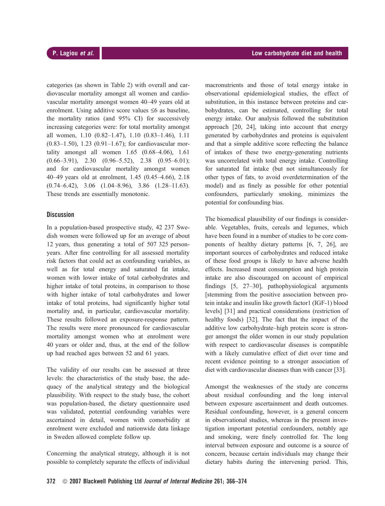categories (as shown in Table 2) with overall and cardiovascular mortality amongst all women and cardiovascular mortality amongst women 40–49 years old at enrolment. Using additive score values  $\leq 6$  as baseline, the mortality ratios (and 95% CI) for successively increasing categories were: for total mortality amongst all women, 1.10 (0.82–1.47), 1.10 (0.83–1.46), 1.11 (0.83–1.50), 1.23 (0.91–1.67); for cardiovascular mortality amongst all women 1.65 (0.68–4.06), 1.61  $(0.66-3.91)$ , 2.30  $(0.96-5.52)$ , 2.38  $(0.95-6.01)$ ; and for cardiovascular mortality amongst women 40–49 years old at enrolment, 1.45 (0.45–4.66), 2.18  $(0.74-6.42)$ ,  $3.06$   $(1.04-8.96)$ ,  $3.86$   $(1.28-11.63)$ . These trends are essentially monotonic.

# **Discussion**

In a population-based prospective study, 42 237 Swedish women were followed up for an average of about 12 years, thus generating a total of 507 325 personyears. After fine controlling for all assessed mortality risk factors that could act as confounding variables, as well as for total energy and saturated fat intake, women with lower intake of total carbohydrates and higher intake of total proteins, in comparison to those with higher intake of total carbohydrates and lower intake of total proteins, had significantly higher total mortality and, in particular, cardiovascular mortality. These results followed an exposure-response pattern. The results were more pronounced for cardiovascular mortality amongst women who at enrolment were 40 years or older and, thus, at the end of the follow up had reached ages between 52 and 61 years.

The validity of our results can be assessed at three levels: the characteristics of the study base, the adequacy of the analytical strategy and the biological plausibility. With respect to the study base, the cohort was population-based, the dietary questionnaire used was validated, potential confounding variables were ascertained in detail, women with comorbidity at enrolment were excluded and nationwide data linkage in Sweden allowed complete follow up.

Concerning the analytical strategy, although it is not possible to completely separate the effects of individual macronutrients and those of total energy intake in observational epidemiological studies, the effect of substitution, in this instance between proteins and carbohydrates, can be estimated, controlling for total energy intake. Our analysis followed the substitution approach [20, 24], taking into account that energy generated by carbohydrates and proteins is equivalent and that a simple additive score reflecting the balance of intakes of these two energy-generating nutrients was uncorrelated with total energy intake. Controlling for saturated fat intake (but not simultaneously for other types of fats, to avoid overdetermination of the model) and as finely as possible for other potential confounders, particularly smoking, minimizes the potential for confounding bias.

The biomedical plausibility of our findings is considerable. Vegetables, fruits, cereals and legumes, which have been found in a number of studies to be core components of healthy dietary patterns [6, 7, 26], are important sources of carbohydrates and reduced intake of these food groups is likely to have adverse health effects. Increased meat consumption and high protein intake are also discouraged on account of empirical findings [5, 27–30], pathophysiological arguments [stemming from the positive association between protein intake and insulin like growth factor1 (IGF-1) blood levels] [31] and practical considerations (restriction of healthy foods) [32]. The fact that the impact of the additive low carbohydrate–high protein score is stronger amongst the older women in our study population with respect to cardiovascular diseases is compatible with a likely cumulative effect of diet over time and recent evidence pointing to a stronger association of diet with cardiovascular diseases than with cancer [33].

Amongst the weaknesses of the study are concerns about residual confounding and the long interval between exposure ascertainment and death outcomes. Residual confounding, however, is a general concern in observational studies, whereas in the present investigation important potential confounders, notably age and smoking, were finely controlled for. The long interval between exposure and outcome is a source of concern, because certain individuals may change their dietary habits during the intervening period. This,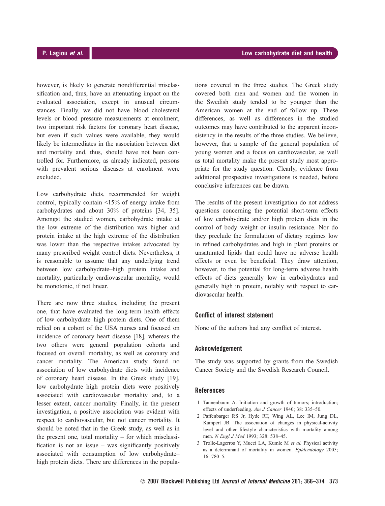excluded.

however, is likely to generate nondifferential misclassification and, thus, have an attenuating impact on the evaluated association, except in unusual circumstances. Finally, we did not have blood cholesterol levels or blood pressure measurements at enrolment, two important risk factors for coronary heart disease, but even if such values were available, they would likely be intermediates in the association between diet and mortality and, thus, should have not been controlled for. Furthermore, as already indicated, persons with prevalent serious diseases at enrolment were

Low carbohydrate diets, recommended for weight control, typically contain <15% of energy intake from carbohydrates and about 30% of proteins [34, 35]. Amongst the studied women, carbohydrate intake at the low extreme of the distribution was higher and protein intake at the high extreme of the distribution was lower than the respective intakes advocated by many prescribed weight control diets. Nevertheless, it is reasonable to assume that any underlying trend between low carbohydrate–high protein intake and mortality, particularly cardiovascular mortality, would be monotonic, if not linear.

There are now three studies, including the present one, that have evaluated the long-term health effects of low carbohydrate–high protein diets. One of them relied on a cohort of the USA nurses and focused on incidence of coronary heart disease [18], whereas the two others were general population cohorts and focused on overall mortality, as well as coronary and cancer mortality. The American study found no association of low carbohydrate diets with incidence of coronary heart disease. In the Greek study [19], low carbohydrate–high protein diets were positively associated with cardiovascular mortality and, to a lesser extent, cancer mortality. Finally, in the present investigation, a positive association was evident with respect to cardiovascular, but not cancer mortality. It should be noted that in the Greek study, as well as in the present one, total mortality – for which misclassification is not an issue – was significantly positively associated with consumption of low carbohydrate– high protein diets. There are differences in the populations covered in the three studies. The Greek study covered both men and women and the women in the Swedish study tended to be younger than the American women at the end of follow up. These differences, as well as differences in the studied outcomes may have contributed to the apparent inconsistency in the results of the three studies. We believe, however, that a sample of the general population of young women and a focus on cardiovascular, as well as total mortality make the present study most appropriate for the study question. Clearly, evidence from additional prospective investigations is needed, before conclusive inferences can be drawn.

The results of the present investigation do not address questions concerning the potential short-term effects of low carbohydrate and/or high protein diets in the control of body weight or insulin resistance. Nor do they preclude the formulation of dietary regimes low in refined carbohydrates and high in plant proteins or unsaturated lipids that could have no adverse health effects or even be beneficial. They draw attention, however, to the potential for long-term adverse health effects of diets generally low in carbohydrates and generally high in protein, notably with respect to cardiovascular health.

### Conflict of interest statement

None of the authors had any conflict of interest.

### Acknowledgement

The study was supported by grants from the Swedish Cancer Society and the Swedish Research Council.

### References

- 1 Tannenbaum A. Initiation and growth of tumors; introduction; effects of underfeeding. Am J Cancer 1940; 38: 335–50.
- 2 Paffenbarger RS Jr, Hyde RT, Wing AL, Lee IM, Jung DL, Kampert JB. The association of changes in physical-activity level and other lifestyle characteristics with mortality among men. N Engl J Med 1993; 328: 538–45.
- 3 Trolle-Lagerros Y, Mucci LA, Kumle M et al. Physical activity as a determinant of mortality in women. Epidemiology 2005; 16: 780–5.